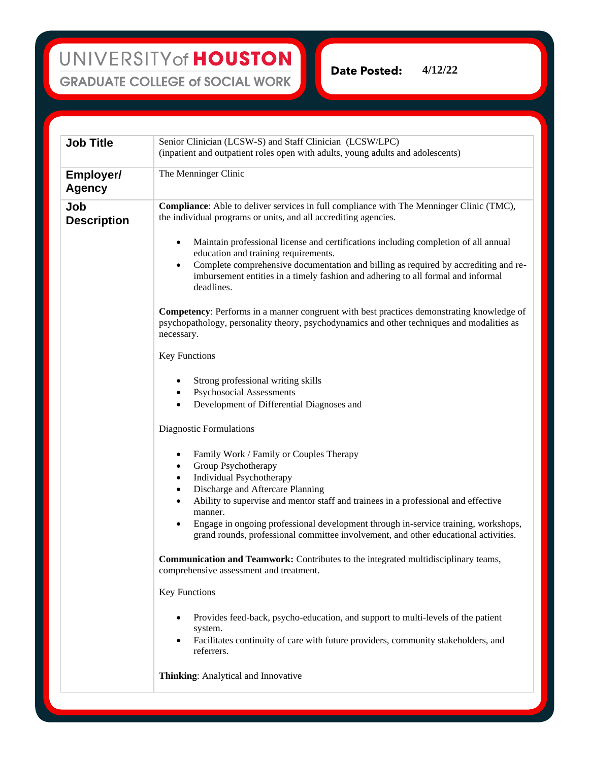**Date Posted: 4/12/22**

| <b>Job Title</b>                  | Senior Clinician (LCSW-S) and Staff Clinician (LCSW/LPC)                                                                                                                                                                                                                                                                                                                                                                                                                                   |
|-----------------------------------|--------------------------------------------------------------------------------------------------------------------------------------------------------------------------------------------------------------------------------------------------------------------------------------------------------------------------------------------------------------------------------------------------------------------------------------------------------------------------------------------|
|                                   | (inpatient and outpatient roles open with adults, young adults and adolescents)                                                                                                                                                                                                                                                                                                                                                                                                            |
| <b>Employer/</b><br><b>Agency</b> | The Menninger Clinic                                                                                                                                                                                                                                                                                                                                                                                                                                                                       |
| Job<br><b>Description</b>         | <b>Compliance:</b> Able to deliver services in full compliance with The Menninger Clinic (TMC),<br>the individual programs or units, and all accrediting agencies.                                                                                                                                                                                                                                                                                                                         |
|                                   | Maintain professional license and certifications including completion of all annual<br>$\bullet$<br>education and training requirements.<br>Complete comprehensive documentation and billing as required by accrediting and re-<br>$\bullet$<br>imbursement entities in a timely fashion and adhering to all formal and informal<br>deadlines.                                                                                                                                             |
|                                   | <b>Competency</b> : Performs in a manner congruent with best practices demonstrating knowledge of<br>psychopathology, personality theory, psychodynamics and other techniques and modalities as<br>necessary.                                                                                                                                                                                                                                                                              |
|                                   | <b>Key Functions</b>                                                                                                                                                                                                                                                                                                                                                                                                                                                                       |
|                                   | Strong professional writing skills<br><b>Psychosocial Assessments</b><br>$\bullet$<br>Development of Differential Diagnoses and<br>$\bullet$                                                                                                                                                                                                                                                                                                                                               |
|                                   | Diagnostic Formulations                                                                                                                                                                                                                                                                                                                                                                                                                                                                    |
|                                   | Family Work / Family or Couples Therapy<br>$\bullet$<br>Group Psychotherapy<br>$\bullet$<br>Individual Psychotherapy<br>$\bullet$<br>Discharge and Aftercare Planning<br>$\bullet$<br>Ability to supervise and mentor staff and trainees in a professional and effective<br>$\bullet$<br>manner.<br>Engage in ongoing professional development through in-service training, workshops,<br>$\bullet$<br>grand rounds, professional committee involvement, and other educational activities. |
|                                   | <b>Communication and Teamwork:</b> Contributes to the integrated multidisciplinary teams,<br>comprehensive assessment and treatment.                                                                                                                                                                                                                                                                                                                                                       |
|                                   | Key Functions                                                                                                                                                                                                                                                                                                                                                                                                                                                                              |
|                                   | Provides feed-back, psycho-education, and support to multi-levels of the patient<br>system.<br>Facilitates continuity of care with future providers, community stakeholders, and<br>referrers.                                                                                                                                                                                                                                                                                             |
|                                   | Thinking: Analytical and Innovative                                                                                                                                                                                                                                                                                                                                                                                                                                                        |